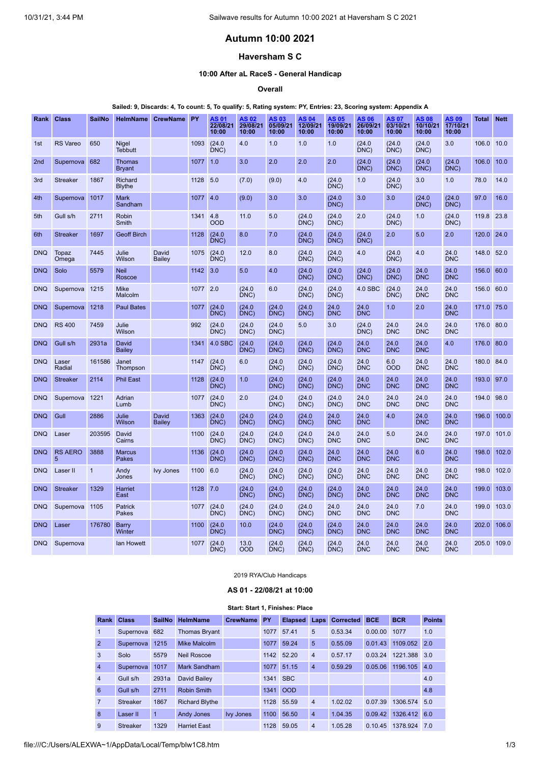# **Autumn 10:00 2021**

# **Haversham S C**

### **10:00 After aL RaceS - General Handicap**

**Overall**

#### Sailed: 9, Discards: 4, To count: 5, To qualify: 5, Rating system: PY, Entries: 23, Scoring system: Appendix A

| Rank            | <b>Class</b>        | SailNo         | <b>HelmName</b>                | <b>CrewName</b>        | <b>PY</b> | AS 01<br>22/08/21<br>10:00 | AS 02<br>29/08/21<br>10:00 | AS 03<br>05/09/21<br>10:00 | AS 04<br>12/09/21<br>10:00 | AS 05<br>19/09/21<br>10:00 | AS 06<br>26/09/21<br>10:00 | AS 07<br>03/10/21<br>10:00 | AS 08<br>10/10/21<br>10:00 | AS 09<br>17/10/21<br>10:00 | <b>Total Nett</b> |       |
|-----------------|---------------------|----------------|--------------------------------|------------------------|-----------|----------------------------|----------------------------|----------------------------|----------------------------|----------------------------|----------------------------|----------------------------|----------------------------|----------------------------|-------------------|-------|
| 1st             | <b>RS</b> Vareo     | 650            | Nigel<br><b>Tebbutt</b>        |                        | 1093      | (24.0)<br>DNC)             | 4.0                        | 1.0                        | 1.0                        | 1.0                        | (24.0)<br>DNC)             | (24.0)<br>DNC)             | (24.0)<br>DNC)             | 3.0                        | 106.0 10.0        |       |
| 2 <sub>nd</sub> | Supernova           | 682            | <b>Thomas</b><br><b>Bryant</b> |                        | 1077      | 1.0                        | 3.0                        | 2.0                        | 2.0                        | 2.0                        | (24.0)<br>DNC)             | (24.0<br>DNC)              | (24.0<br>DNC)              | (24.0)<br>DNC)             | 106.0             | 10.0  |
| 3rd             | <b>Streaker</b>     | 1867           | Richard<br><b>Blythe</b>       |                        | 1128      | 5.0                        | (7.0)                      | (9.0)                      | 4.0                        | (24.0)<br>DNC)             | 1.0                        | (24.0)<br>DNC)             | 3.0                        | 1.0                        | 78.0              | 14.0  |
| 4th             | Supernova           | 1017           | <b>Mark</b><br>Sandham         |                        | 1077      | 4.0                        | (9.0)                      | 3.0                        | 3.0                        | (24.0)<br>DNC)             | 3.0                        | 3.0                        | (24.0)<br>DNC)             | (24.0)<br>DNC)             | 97.0              | 16.0  |
| 5th             | Gull s/h            | 2711           | Robin<br>Smith                 |                        | 1341      | 4.8<br><b>OOD</b>          | 11.0                       | 5.0                        | (24.0)<br>DNC)             | (24.0)<br>DNC)             | 2.0                        | (24.0)<br>DNC)             | 1.0                        | (24.0)<br>DNC)             | 119.8             | 23.8  |
| 6th             | <b>Streaker</b>     | 1697           | <b>Geoff Birch</b>             |                        | 1128      | (24.0)<br>DNC)             | 8.0                        | 7.0                        | (24.0)<br>DNC)             | (24.0)<br>DNC)             | (24.0)<br>DNC)             | 2.0                        | 5.0                        | 2.0                        | 120.0 24.0        |       |
| <b>DNQ</b>      | Topaz<br>Omega      | 7445           | Julie<br>Wilson                | David<br>Bailey        | 1075      | (24.0)<br>DNC              | 12.0                       | 8.0                        | (24.0)<br>DNC)             | (24.0)<br>DNC)             | 4.0                        | (24.0)<br>DNC)             | 4.0                        | 24.0<br><b>DNC</b>         | 148.0 52.0        |       |
| <b>DNQ</b>      | Solo                | 5579           | <b>Neil</b><br>Roscoe          |                        | 1142      | 3.0                        | 5.0                        | 4.0                        | (24.0)<br>DNC)             | (24.0)<br>DNC)             | (24.0)<br>DNC)             | (24.0)<br>DNC)             | 24.0<br><b>DNC</b>         | 24.0<br><b>DNC</b>         | 156.0 60.0        |       |
| <b>DNQ</b>      | Supernova 1215      |                | <b>Mike</b><br>Malcolm         |                        | 1077 2.0  |                            | (24.0)<br>DNC)             | 6.0                        | (24.0)<br>DNC)             | (24.0)<br>DNC)             | 4.0 SBC                    | (24.0)<br>DNC)             | 24.0<br><b>DNC</b>         | 24.0<br><b>DNC</b>         | 156.0 60.0        |       |
| <b>DNQ</b>      | Supernova           | 1218           | <b>Paul Bates</b>              |                        | 1077      | (24.0)<br>DNC)             | (24.0)<br>DNC              | (24.0)<br>DNC)             | (24.0)<br>DNC              | 24.0<br><b>DNC</b>         | 24.0<br><b>DNC</b>         | 1.0                        | 2.0                        | 24.0<br><b>DNC</b>         | 171.0 75.0        |       |
| <b>DNQ</b>      | <b>RS 400</b>       | 7459           | Julie<br>Wilson                |                        | 992       | (24.0)<br>DNC)             | (24.0)<br>DNC)             | (24.0)<br>DNC)             | 5.0                        | 3.0                        | (24.0)<br>DNC)             | 24.0<br><b>DNC</b>         | 24.0<br><b>DNC</b>         | 24.0<br><b>DNC</b>         | 176.0 80.0        |       |
| <b>DNQ</b>      | Gull s/h            | 2931a          | David<br><b>Bailey</b>         |                        | 1341      | 4.0 SBC                    | (24.0)<br>DNC)             | (24.0)<br>DNC)             | (24.0)<br>DNC)             | (24.0)<br>DNC)             | 24.0<br><b>DNC</b>         | 24.0<br><b>DNC</b>         | 24.0<br><b>DNC</b>         | 4.0                        | 176.0 80.0        |       |
| <b>DNQ</b>      | Laser<br>Radial     | 161586         | Janet<br>Thompson              |                        | 1147      | (24.0)<br>DNC              | 6.0                        | (24.0)<br>DNC)             | (24.0)<br>DNC)             | (24.0)<br>DNC)             | 24.0<br><b>DNC</b>         | 6.0<br><b>OOD</b>          | 24.0<br><b>DNC</b>         | 24.0<br><b>DNC</b>         | 180.0             | 84.0  |
| <b>DNQ</b>      | <b>Streaker</b>     | 2114           | <b>Phil East</b>               |                        | 1128      | (24.0)<br>DNC)             | 1.0                        | (24.0)<br>DNC              | (24.0)<br>DNC)             | (24.0)<br>DNC)             | 24.0<br><b>DNC</b>         | 24.0<br><b>DNC</b>         | 24.0<br><b>DNC</b>         | 24.0<br><b>DNC</b>         | 193.0 97.0        |       |
| <b>DNQ</b>      | Supernova           | 1221           | Adrian<br>Lumb                 |                        | 1077      | (24.0)<br>DNC)             | 2.0                        | (24.0)<br>DNC)             | (24.0)<br>DNC)             | (24.0)<br>DNC)             | 24.0<br><b>DNC</b>         | 24.0<br><b>DNC</b>         | 24.0<br><b>DNC</b>         | 24.0<br><b>DNC</b>         | 194.0             | 98.0  |
| <b>DNQ</b>      | Gull                | 2886           | Julie<br>Wilson                | David<br><b>Bailey</b> | 1363      | (24.0)<br>DNC)             | (24.0)<br>DNC              | (24.0)<br>DNC              | (24.0)<br>DNC              | 24.0<br><b>DNC</b>         | 24.0<br><b>DNC</b>         | 4.0                        | 24.0<br><b>DNC</b>         | 24.0<br><b>DNC</b>         | 196.0             | 100.0 |
| <b>DNQ</b>      | Laser               | 203595         | David<br>Cairns                |                        | 1100      | (24.0)<br>DNC)             | (24.0)<br>DNC)             | (24.0)<br>DNC)             | (24.0)<br>DNC)             | 24.0<br><b>DNC</b>         | 24.0<br><b>DNC</b>         | 5.0                        | 24.0<br><b>DNC</b>         | 24.0<br><b>DNC</b>         | 197.0 101.0       |       |
| <b>DNO</b>      | <b>RS AERO</b><br>5 | 3888           | <b>Marcus</b><br>Pakes         |                        | 1136      | (24.0)<br>DNC)             | (24.0)<br>DNC)             | (24.0)<br>DNC)             | (24.0)<br>DNC)             | 24.0<br><b>DNC</b>         | 24.0<br><b>DNC</b>         | 24.0<br><b>DNC</b>         | 6.0                        | 24.0<br><b>DNC</b>         | 198.0             | 102.0 |
| <b>DNQ</b>      | Laser II            | $\overline{1}$ | Andy<br>Jones                  | <b>Ivy Jones</b>       | 1100      | 6.0                        | (24.0)<br>DNC)             | (24.0)<br>DNC)             | (24.0)<br>DNC)             | (24.0)<br>DNC)             | 24.0<br><b>DNC</b>         | 24.0<br><b>DNC</b>         | 24.0<br><b>DNC</b>         | 24.0<br><b>DNC</b>         | 198.0             | 102.0 |
| <b>DNQ</b>      | <b>Streaker</b>     | 1329           | <b>Harriet</b><br>East         |                        | 1128      | 7.0                        | (24.0)<br>DNC)             | (24.0)<br>DNC              | (24.0)<br>DNC)             | (24.0)<br>DNC)             | 24.0<br><b>DNC</b>         | 24.0<br><b>DNC</b>         | 24.0<br><b>DNC</b>         | 24.0<br><b>DNC</b>         | 199.0             | 103.0 |
| <b>DNQ</b>      | Supernova 1105      |                | Patrick<br>Pakes               |                        | 1077      | (24.0)<br>DNC              | (24.0)<br>DNC)             | (24.0)<br>DNC)             | (24.0)<br>DNC)             | 24.0<br><b>DNC</b>         | 24.0<br><b>DNC</b>         | 24.0<br><b>DNC</b>         | 7.0                        | 24.0<br><b>DNC</b>         | 199.0             | 103.0 |
| <b>DNQ</b>      | Laser               | 176780         | Barry<br>Winter                |                        | 1100      | (24.0)<br>DNC)             | 10.0                       | (24.0)<br>DNC)             | (24.0)<br>DNC)             | (24.0)<br>DNC)             | 24.0<br><b>DNC</b>         | 24.0<br><b>DNC</b>         | 24.0<br><b>DNC</b>         | 24.0<br><b>DNC</b>         | 202.0             | 106.0 |
| <b>DNQ</b>      | Supernova           |                | lan Howett                     |                        | 1077      | (24.0)<br>DNC)             | 13.0<br><b>OOD</b>         | (24.0)<br>DNC)             | (24.0)<br>DNC)             | (24.0)<br>DNC)             | 24.0<br><b>DNC</b>         | 24.0<br><b>DNC</b>         | 24.0<br><b>DNC</b>         | 24.0<br><b>DNC</b>         | 205.0 109.0       |       |

2019 RYA/Club Handicaps

### **AS 01 - 22/08/21 at 10:00**

#### **Start: Start 1, Finishes: Place**

<span id="page-0-0"></span>

| Rank           | <b>Class</b>    | <b>SailNo</b>  | <b>HelmName</b>       | <b>CrewName</b>  | PY   | <b>Elapsed</b> | Laps           | <b>Corrected</b> | <b>BCE</b> | <b>BCR</b> | <b>Points</b> |
|----------------|-----------------|----------------|-----------------------|------------------|------|----------------|----------------|------------------|------------|------------|---------------|
| 1              | Supernova       | 682            | <b>Thomas Bryant</b>  |                  | 1077 | 57.41          | 5              | 0.53.34          | 0.00.00    | 1077       | 1.0           |
| 2              | Supernova       | 1215           | Mike Malcolm          |                  | 1077 | 59.24          | 5              | 0.55.09          | 0.01.43    | 1109.052   | 2.0           |
| 3              | Solo            | 5579           | <b>Neil Roscoe</b>    |                  | 1142 | 52.20          | $\overline{4}$ | 0.57.17          | 0.03.24    | 1221.388   | 3.0           |
| $\overline{4}$ | Supernova       | 1017           | Mark Sandham          |                  | 1077 | 51.15          | $\overline{4}$ | 0.59.29          | 0.05.06    | 1196.105   | 4.0           |
| $\overline{4}$ | Gull s/h        | 2931a          | David Bailey          |                  | 1341 | <b>SBC</b>     |                |                  |            |            | 4.0           |
| 6              | Gull s/h        | 2711           | <b>Robin Smith</b>    |                  | 1341 | <b>OOD</b>     |                |                  |            |            | 4.8           |
| $\overline{7}$ | <b>Streaker</b> | 1867           | <b>Richard Blythe</b> |                  | 1128 | 55.59          | $\overline{4}$ | 1.02.02          | 0.07.39    | 1306.574   | 5.0           |
| 8              | Laser II        | $\overline{1}$ | <b>Andy Jones</b>     | <b>Ivy Jones</b> | 1100 | 56.50          | $\overline{4}$ | 1.04.35          | 0.09.42    | 1326.412   | 6.0           |
| 9              | <b>Streaker</b> | 1329           | <b>Harriet East</b>   |                  | 1128 | 59.05          | $\overline{4}$ | 1.05.28          | 0.10.45    | 1378.924   | <b>70</b>     |

file:///C:/Users/ALEXWA~1/AppData/Local/Temp/blw1C8.htm 1/3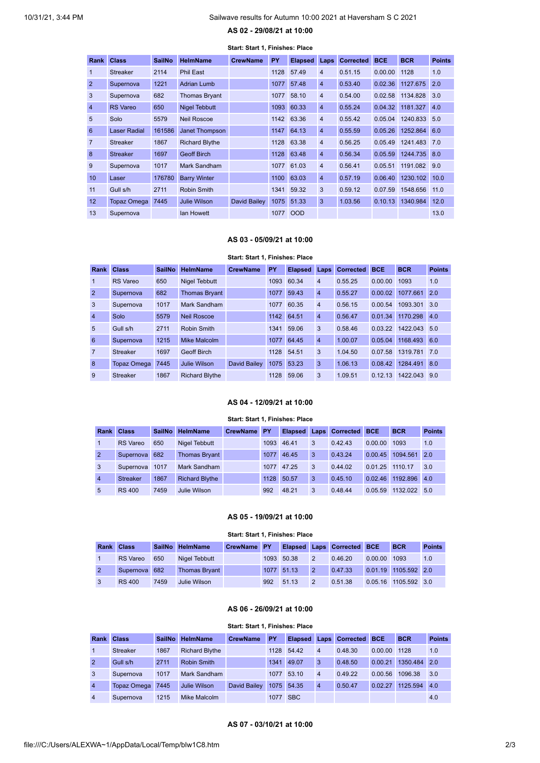# <span id="page-1-0"></span>10/31/21, 3:44 PM Sailwave results for Autumn 10:00 2021 at Haversham S C 2021

### **AS 02 - 29/08/21 at 10:00**

| Start: Start 1, Finishes: Place |                    |               |                       |                 |      |                |                |                  |            |              |               |
|---------------------------------|--------------------|---------------|-----------------------|-----------------|------|----------------|----------------|------------------|------------|--------------|---------------|
| <b>Rank</b>                     | <b>Class</b>       | <b>SailNo</b> | <b>HelmName</b>       | <b>CrewName</b> | PY   | <b>Elapsed</b> | Laps           | <b>Corrected</b> | <b>BCE</b> | <b>BCR</b>   | <b>Points</b> |
| 1                               | <b>Streaker</b>    | 2114          | Phil East             |                 | 1128 | 57.49          | $\overline{4}$ | 0.51.15          | 0.00.00    | 1128         | 1.0           |
| $\overline{2}$                  | Supernova          | 1221          | <b>Adrian Lumb</b>    |                 | 1077 | 57.48          | $\overline{4}$ | 0.53.40          | 0.02.36    | 1127.675     | 2.0           |
| 3                               | Supernova          | 682           | <b>Thomas Bryant</b>  |                 | 1077 | 58.10          | $\overline{4}$ | 0.54.00          | 0.02.58    | 1134.828     | 3.0           |
| $\overline{4}$                  | <b>RS</b> Vareo    | 650           | <b>Nigel Tebbutt</b>  |                 | 1093 | 60.33          | $\overline{4}$ | 0.55.24          | 0.04.32    | 1181.327     | 4.0           |
| 5                               | Solo               | 5579          | <b>Neil Roscoe</b>    |                 | 1142 | 63.36          | $\overline{4}$ | 0.55.42          | 0.05.04    | 1240.833     | 5.0           |
| 6                               | Laser Radial       | 161586        | Janet Thompson        |                 | 1147 | 64.13          | $\overline{4}$ | 0.55.59          | 0.05.26    | 1252.864 6.0 |               |
| $\overline{7}$                  | <b>Streaker</b>    | 1867          | <b>Richard Blythe</b> |                 | 1128 | 63.38          | $\overline{4}$ | 0.56.25          | 0.05.49    | 1241.483     | 7.0           |
| 8                               | <b>Streaker</b>    | 1697          | <b>Geoff Birch</b>    |                 |      | 1128 63.48     | $\overline{4}$ | 0.56.34          | 0.05.59    | 1244.735 8.0 |               |
| 9                               | Supernova          | 1017          | Mark Sandham          |                 |      | 1077 61.03     | $\overline{4}$ | 0.56.41          | 0.05.51    | 1191.082     | 9.0           |
| 10                              | Laser              | 176780        | <b>Barry Winter</b>   |                 | 1100 | 63.03          | $\overline{4}$ | 0.57.19          | 0.06.40    | 1230.102     | 10.0          |
| 11                              | Gull s/h           | 2711          | <b>Robin Smith</b>    |                 |      | 1341 59.32     | 3              | 0.59.12          | 0.07.59    | 1548.656     | 11.0          |
| 12                              | <b>Topaz Omega</b> | 7445          | <b>Julie Wilson</b>   | David Bailey    |      | 1075 51.33     | 3              | 1.03.56          | 0.10.13    | 1340.984     | 12.0          |
| 13                              | Supernova          |               | lan Howett            |                 | 1077 | <b>OOD</b>     |                |                  |            |              | 13.0          |

#### **AS 03 - 05/09/21 at 10:00**

#### **Start: Start 1, Finishes: Place**

<span id="page-1-1"></span>

| <b>Rank</b>     | <b>Class</b>    | <b>SailNo</b> | <b>HelmName</b>       | <b>CrewName</b> | PY   | Elapsed Laps |                | Corrected BCE |         | <b>BCR</b> | <b>Points</b> |
|-----------------|-----------------|---------------|-----------------------|-----------------|------|--------------|----------------|---------------|---------|------------|---------------|
| $\mathbf{1}$    | <b>RS</b> Vareo | 650           | Nigel Tebbutt         |                 | 1093 | 60.34        | $\overline{4}$ | 0.55.25       | 0.00.00 | 1093       | 1.0           |
| $\overline{2}$  | Supernova       | 682           | <b>Thomas Bryant</b>  |                 | 1077 | 59.43        | $\overline{4}$ | 0.55.27       | 0.00.02 | 1077.661   | 2.0           |
| 3               | Supernova       | 1017          | Mark Sandham          |                 | 1077 | 60.35        | $\overline{4}$ | 0.56.15       | 0.00.54 | 1093.301   | 3.0           |
| $\overline{4}$  | Solo            | 5579          | <b>Neil Roscoe</b>    |                 | 1142 | 64.51        | $\overline{4}$ | 0.56.47       | 0.01.34 | 1170.298   | 4.0           |
| $5\overline{5}$ | Gull s/h        | 2711          | Robin Smith           |                 | 1341 | 59.06        | 3              | 0.58.46       | 0.03.22 | 1422.043   | 5.0           |
| 6               | Supernova       | 1215          | <b>Mike Malcolm</b>   |                 | 1077 | 64.45        | $\overline{4}$ | 1.00.07       | 0.05.04 | 1168.493   | 6.0           |
| $\overline{7}$  | <b>Streaker</b> | 1697          | <b>Geoff Birch</b>    |                 | 1128 | 54.51        | 3              | 1.04.50       | 0.07.58 | 1319.781   | 7.0           |
| 8               | Topaz Omega     | 7445          | Julie Wilson          | David Bailey    | 1075 | 53.23        | 3              | 1.06.13       | 0.08.42 | 1284.491   | 8.0           |
| 9               | <b>Streaker</b> | 1867          | <b>Richard Blythe</b> |                 | 1128 | 59.06        | 3              | 1.09.51       | 0.12.13 | 1422.043   | 9.0           |

### **AS 04 - 12/09/21 at 10:00**

#### **Start: Start 1, Finishes: Place**

<span id="page-1-2"></span>

| Rank           | <b>Class</b>    |      | SailNo HelmName       | <b>CrewName PY</b> |      |       |   | Elapsed Laps Corrected | <b>BCE</b> | <b>BCR</b> | <b>Points</b> |
|----------------|-----------------|------|-----------------------|--------------------|------|-------|---|------------------------|------------|------------|---------------|
|                | <b>RS</b> Vareo | 650  | Nigel Tebbutt         |                    | 1093 | 46.41 | 3 | 0.42.43                | 0.00.00    | 1093       | 1.0           |
| $\overline{2}$ | Supernova       | 682  | <b>Thomas Bryant</b>  |                    | 1077 | 46.45 | 3 | 0.43.24                | 0.00.45    | 1094.561   | 2.0           |
| 3              | Supernova       | 1017 | Mark Sandham          |                    | 1077 | 47.25 | 3 | 0.44.02                | 0.01.25    | 1110.17    | 3.0           |
| $\overline{4}$ | <b>Streaker</b> | 1867 | <b>Richard Blythe</b> |                    | 1128 | 50.57 | 3 | 0.45.10                | 0.02.46    | 1192.896   | 4.0           |
| 5              | <b>RS 400</b>   | 7459 | Julie Wilson          |                    | 992  | 48.21 | 3 | 0.48.44                | 0.05.59    | 1132 022   | 5.0           |

### **AS 05 - 19/09/21 at 10:00**

#### **Start: Start 1, Finishes: Place**

<span id="page-1-3"></span>

| Rank Class      |      | SailNo HelmName      | CrewName PY |     |            |                | <b>Elapsed Laps Corrected BCE</b>  |         | <b>BCR</b>           | <b>Points</b> |
|-----------------|------|----------------------|-------------|-----|------------|----------------|------------------------------------|---------|----------------------|---------------|
| <b>RS</b> Vareo | 650  | Nigel Tebbutt        |             |     | 1093 50.38 | $\overline{2}$ | 0.46.20                            | 0.00.00 | 1093                 | 1.0           |
| Supernova 682   |      | <b>Thomas Bryant</b> |             |     | 1077 51.13 | ll 2 i         | 0.47.33   0.01.19   1105.592   2.0 |         |                      |               |
| <b>RS 400</b>   | 7459 | Julie Wilson         |             | 992 | 51 13      | $\overline{2}$ | 0.51.38                            |         | 0.05.16 1105.592 3.0 |               |

### **AS 06 - 26/09/21 at 10:00**

#### **Start: Start 1, Finishes: Place**

<span id="page-1-5"></span><span id="page-1-4"></span>

| Rank           | <b>Class</b>    |      | SailNo HelmName       | <b>CrewName</b> | PY   |            |                | <b>Elapsed Laps Corrected BCE</b> |              | <b>BCR</b>   | <b>Points</b> |
|----------------|-----------------|------|-----------------------|-----------------|------|------------|----------------|-----------------------------------|--------------|--------------|---------------|
|                | <b>Streaker</b> | 1867 | <b>Richard Blythe</b> |                 | 1128 | 54.42      | $\overline{4}$ | 0.48.30                           | 0.00.00 1128 |              | 1.0           |
| $\overline{2}$ | Gull s/h        | 2711 | Robin Smith           |                 |      | 1341 49.07 | 3              | 0.48.50                           | 0.00.21      | 1350.484 2.0 |               |
| 3              | Supernova       | 1017 | Mark Sandham          |                 | 1077 | 53.10      | $\overline{4}$ | 0.49.22                           | 0.00.56      | 1096.38      | 3.0           |
| $\overline{4}$ | Topaz Omega     | 7445 | Julie Wilson          | David Bailey    |      | 1075 54.35 | $\overline{4}$ | 0.50.47                           | 0.02.27      | 1125.594     | 4.0           |
| $\overline{4}$ | Supernova       | 1215 | Mike Malcolm          |                 | 1077 | <b>SBC</b> |                |                                   |              |              | 4.0           |

#### **AS 07 - 03/10/21 at 10:00**